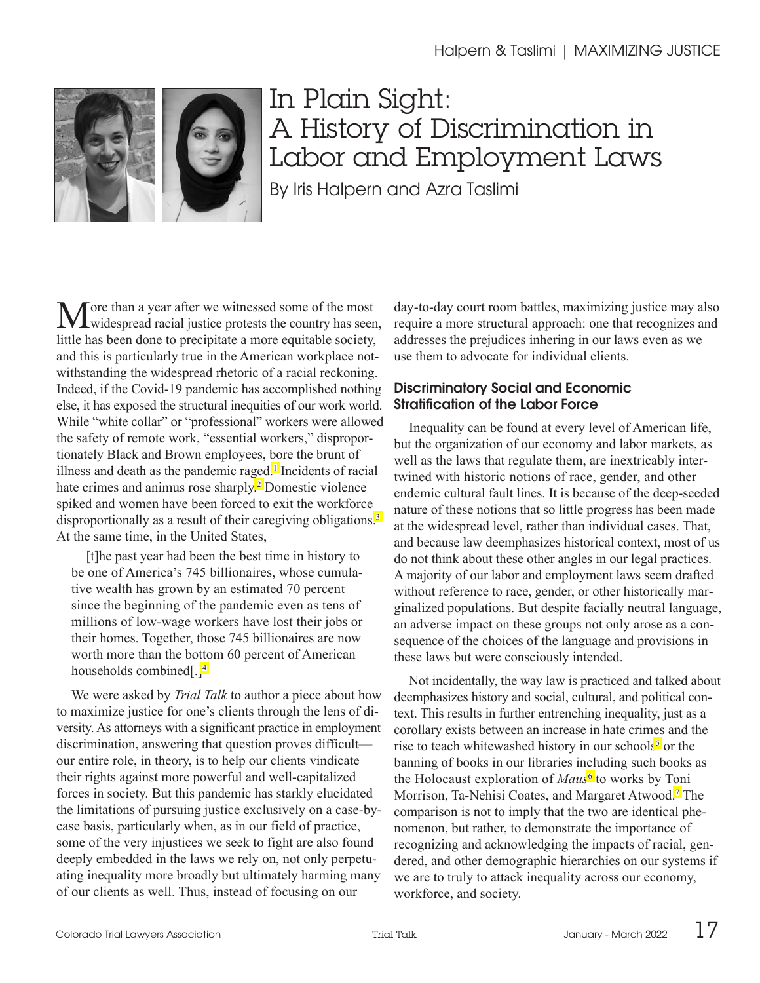

# In Plain Sight: A History of Discrimination in Labor and Employment Laws

By Iris Halpern and Azra Taslimi

More than a year after we witnessed some of the most widespread racial justice protests the country has seen, little has been done to precipitate a more equitable society, and this is particularly true in the American workplace notwithstanding the widespread rhetoric of a racial reckoning. Indeed, if the Covid-19 pandemic has accomplished nothing else, it has exposed the structural inequities of our work world. While "white collar" or "professional" workers were allowed the safety of remote work, "essential workers," disproportionately Black and Brown employees, bore the brunt of illness and death as the pandemic raged. $<sup>1</sup>$  Incidents of racial</sup> hate crimes and animus rose sharply.<sup>2</sup> Domestic violence spiked and women have been forced to exit the workforce disproportionally as a result of their caregiving obligations.<sup>3</sup> At the same time, in the United States,

[t]he past year had been the best time in history to be one of America's 745 billionaires, whose cumulative wealth has grown by an estimated 70 percent since the beginning of the pandemic even as tens of millions of low-wage workers have lost their jobs or their homes. Together, those 745 billionaires are now worth more than the bottom 60 percent of American households combined<sup>[14</sup>]<sup>4</sup>

We were asked by *Trial Talk* to author a piece about how to maximize justice for one's clients through the lens of di versity. As attorneys with a significant practice in employment discrimination, answering that question proves difficult our entire role, in theory, is to help our clients vindicate their rights against more powerful and well-capitalized forces in society. But this pandemic has starkly elucidated the limitations of pursuing justice exclusively on a case-bycase basis, particularly when, as in our field of practice, some of the very injustices we seek to fight are also found deeply embedded in the laws we rely on, not only perpetuating inequality more broadly but ultimately harming many of our clients as well. Thus, instead of focusing on our

day-to-day court room battles, maximizing justice may also require a more structural approach: one that recognizes and addresses the prejudices inhering in our laws even as we use them to advocate for individual clients.

#### **Discriminatory Social and Economic Stratification of the Labor Force**

Inequality can be found at every level of American life, but the organization of our economy and labor markets, as well as the laws that regulate them, are inextricably intertwined with historic notions of race, gender, and other endemic cultural fault lines. It is because of the deep-seeded nature of these notions that so little progress has been made at the widespread level, rather than individual cases. That, and because law deemphasizes historical context, most of us do not think about these other angles in our legal practices. A majority of our labor and employment laws seem drafted without reference to race, gender, or other historically marginalized populations. But despite facially neutral language, an adverse impact on these groups not only arose as a consequence of the choices of the language and provisions in these laws but were consciously intended.

Not incidentally, the way law is practiced and talked about deemphasizes history and social, cultural, and political context. This results in further entrenching inequality, just as a corollary exists between an increase in hate crimes and the rise to teach whitewashed history in our schools<sup>5</sup> or the banning of books in our libraries including such books as the Holocaust exploration of Maus<sup>6</sup> to works by Toni Morrison, Ta-Nehisi Coates, and Margaret Atwood.<sup>7</sup> The comparison is not to imply that the two are identical phenomenon, but rather, to demonstrate the importance of recognizing and acknowledging the impacts of racial, gendered, and other demographic hierarchies on our systems if we are to truly to attack inequality across our economy, workforce, and society.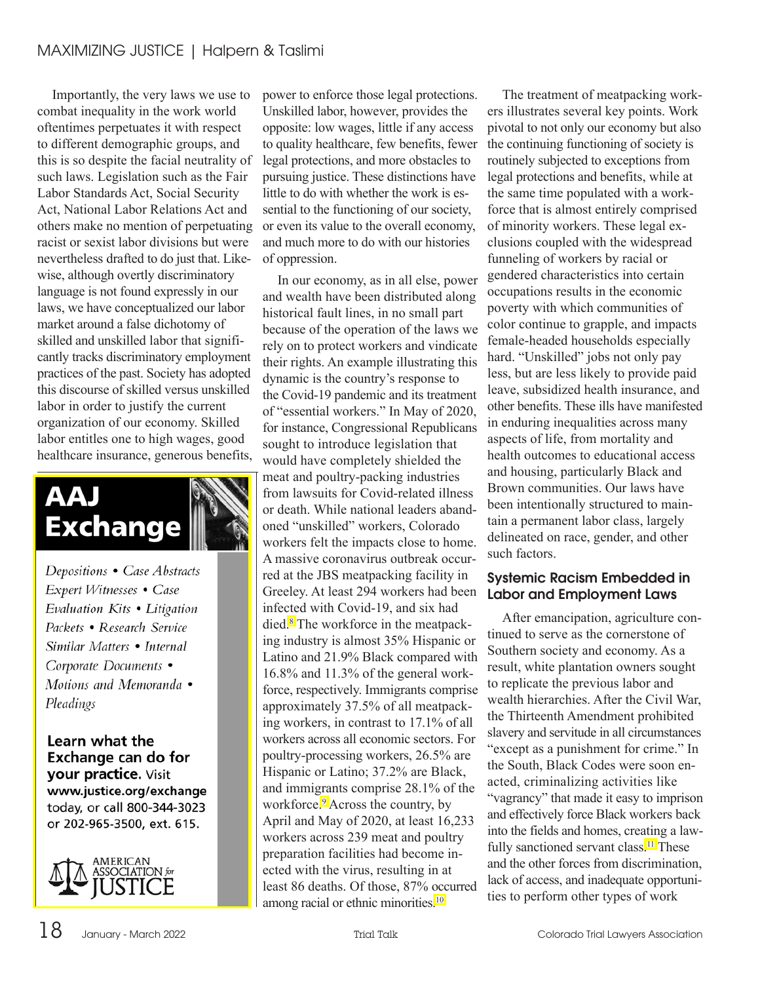Importantly, the very laws we use to combat inequality in the work world oftentimes perpetuates it with respect to different demographic groups, and this is so despite the facial neutrality of such laws. Legislation such as the Fair Labor Standards Act, Social Security Act, National Labor Relations Act and others make no mention of perpetuating racist or sexist labor divisions but were nevertheless drafted to do just that. Like wise, although overtly discriminatory language is not found expressly in our laws, we have conceptualized our labor market around a false dichotomy of skilled and unskilled labor that significantly tracks discriminatory employment practices of the past. Society has adopted this discourse of skilled versus unskilled labor in order to justify the current organization of our economy. Skilled labor entitles one to high wages, good healthcare insurance, generous benefits,



Depositions • Case Abstracts Expert Witnesses • Case Evaluation Kits • Litigation Packets • Research Service Similar Matters • Internal Corporate Documents • Motions and Memoranda • Pleadings

Learn what the **Exchange can do for vour practice.** Visit www.justice.org/exchange today, or call 800-344-3023 or 202-965-3500, ext. 615.



power to enforce those legal protections. Unskilled labor, however, provides the opposite: low wages, little if any access to quality healthcare, few benefits, fewer legal protections, and more obstacles to pursuing justice. These distinctions have little to do with whether the work is essential to the functioning of our society, or even its value to the overall economy, and much more to do with our histories of oppression.

In our economy, as in all else, power and wealth have been distributed along historical fault lines, in no small part because of the operation of the laws we rely on to protect workers and vindicate their rights. An example illustrating this dynamic is the country's response to the Covid-19 pandemic and its treatment of "essential workers." In May of 2020, for instance, Congressional Republicans sought to introduce legislation that would have completely shielded the meat and poultry-packing industries from lawsuits for Covid-related illness or death. While national leaders abandoned "unskilled" workers, Colorado workers felt the impacts close to home. A massive coronavirus outbreak occurred at the JBS meatpacking facility in Greeley. At least 294 workers had been infected with Covid-19, and six had died.<sup>8</sup> The workforce in the meatpacking industry is almost 35% Hispanic or Latino and 21.9% Black compared with  $16.8\%$  and  $11.3\%$  of the general workforce, respectively. Immigrants comprise approximately 37.5% of all meatpack ing workers, in contrast to 17.1% of all workers across all economic sectors. For poultry-processing workers, 26.5% are Hispanic or Latino; 37.2% are Black, and immigrants comprise 28.1% of the workforce.9 Across the country, by April and May of 2020, at least 16,233 workers across 239 meat and poultry preparation facilities had become inected with the virus, resulting in at least 86 deaths. Of those, 87% occurred among racial or ethnic minorities.<sup>10</sup>

The treatment of meatpacking workers illustrates several key points. Work pivotal to not only our economy but also the continuing functioning of society is routinely subjected to exceptions from legal protections and benefits, while at the same time populated with a work force that is almost entirely comprised of minority workers. These legal ex clusions coupled with the widespread funneling of workers by racial or gendered characteristics into certain occupations results in the economic poverty with which communities of color continue to grapple, and impacts female-headed households especially hard. "Unskilled" jobs not only pay less, but are less likely to provide paid leave, subsidized health insurance, and other benefits. These ills have manifested in enduring inequalities across many aspects of life, from mortality and health outcomes to educational access and housing, particularly Black and Brown communities. Our laws have been intentionally structured to maintain a permanent labor class, largely delineated on race, gender, and other such factors.

#### **Systemic Racism Embedded in Labor and Employment Laws**

After emancipation, agriculture continued to serve as the cornerstone of Southern society and economy. As a result, white plantation owners sought to replicate the previous labor and wealth hierarchies. After the Civil War, the Thirteenth Amendment prohibited slavery and servitude in all circumstances "except as a punishment for crime." In the South, Black Codes were soon enacted, criminalizing activities like "vagrancy" that made it easy to imprison and effectively force Black workers back into the fields and homes, creating a law fully sanctioned servant class.<sup>11</sup> These and the other forces from discrimination, lack of access, and inadequate opportunities to perform other types of work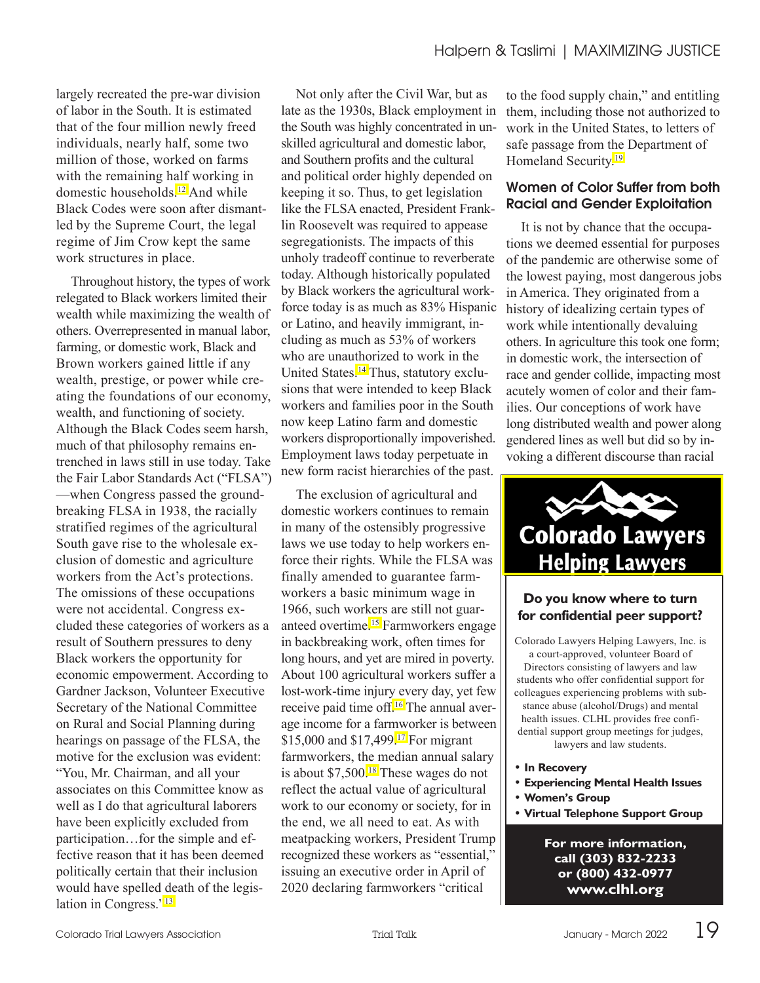largely recreated the pre-war division of labor in the South. It is estimated that of the four million newly freed individuals, nearly half, some two million of those, worked on farms with the remaining half working in domestic households.12 And while Black Codes were soon after dismantled by the Supreme Court, the legal regime of Jim Crow kept the same work structures in place.

Throughout history, the types of work relegated to Black workers limited their wealth while maximizing the wealth of others. Overrepresented in manual labor, farming, or domestic work, Black and Brown workers gained little if any wealth, prestige, or power while creating the foundations of our economy, wealth, and functioning of society. Although the Black Codes seem harsh, much of that philosophy remains entrenched in laws still in use today. Take the Fair Labor Standards Act ("FLSA") —when Congress passed the groundbreaking FLSA in 1938, the racially stratified regimes of the agricultural South gave rise to the wholesale ex clusion of domestic and agriculture workers from the Act's protections. The omissions of these occupations were not accidental. Congress excluded these categories of workers as a result of Southern pressures to deny Black workers the opportunity for economic empowerment. According to Gardner Jackson, Volunteer Executive Secretary of the National Committee on Rural and Social Planning during hearings on passage of the FLSA, the motive for the exclusion was evident: "You, Mr. Chairman, and all your associates on this Committee know as well as I do that agricultural laborers have been explicitly excluded from participation...for the simple and effective reason that it has been deemed politically certain that their inclusion would have spelled death of the legislation in Congress."<sup>13</sup>

Not only after the Civil War, but as late as the 1930s, Black employment in the South was highly concentrated in unskilled agricultural and domestic labor, and Southern profits and the cultural and political order highly depended on keeping it so. Thus, to get legislation like the FLSA enacted, President Frank lin Roosevelt was required to appease segregationists. The impacts of this unholy tradeoff continue to reverberate today. Although historically populated by Black workers the agricultural workforce today is as much as 83% Hispanic or Latino, and heavily immigrant, including as much as 53% of workers who are unauthorized to work in the United States.<sup>14</sup> Thus, statutory exclusions that were intended to keep Black workers and families poor in the South now keep Latino farm and domestic workers disproportionally impoverished. Employment laws today perpetuate in new form racist hierarchies of the past.

The exclusion of agricultural and domestic workers continues to remain in many of the ostensibly progressive laws we use today to help workers enforce their rights. While the FLSA was finally amended to guarantee farmworkers a basic minimum wage in 1966, such workers are still not guaranteed overtime.15 Farmworkers engage in backbreaking work, often times for long hours, and yet are mired in poverty. About 100 agricultural workers suffer a lost-work-time injury every day, yet few receive paid time off.<sup>16</sup> The annual average income for a farmworker is between \$15,000 and \$17,499.17 For migrant farmworkers, the median annual salary is about \$7,500.18 These wages do not reflect the actual value of agricultural work to our economy or society, for in the end, we all need to eat. As with meatpacking workers, President Trump recognized these workers as "essential," issuing an executive order in April of 2020 declaring farmworkers "critical

to the food supply chain," and entitling them, including those not authorized to work in the United States, to letters of safe passage from the Department of Homeland Security.19

#### **Women of Color Suffer from both Racial and Gender Exploitation**

It is not by chance that the occupations we deemed essential for purposes of the pandemic are otherwise some of the lowest paying, most dangerous jobs in America. They originated from a history of idealizing certain types of work while intentionally devaluing others. In agriculture this took one form; in domestic work, the intersection of race and gender collide, impacting most acutely women of color and their families. Our conceptions of work have long distributed wealth and power along gendered lines as well but did so by in voking a different discourse than racial



#### **Do you know where to turn for confidential peer support?**

Colorado Lawyers Helping Lawyers, Inc. is a court-approved, volunteer Board of Directors consisting of lawyers and law students who offer confidential support for colleagues experiencing problems with substance abuse (alcohol/Drugs) and mental health issues. CLHL provides free confidential support group meetings for judges, lawyers and law students.

- **In Recovery**
- **Experiencing Mental Health Issues**
- **Women's Group**
- **Virtual Telephone Support Group**

**For more information, call (303) 832-2233 or (800) 432-0977 www.clhl.org**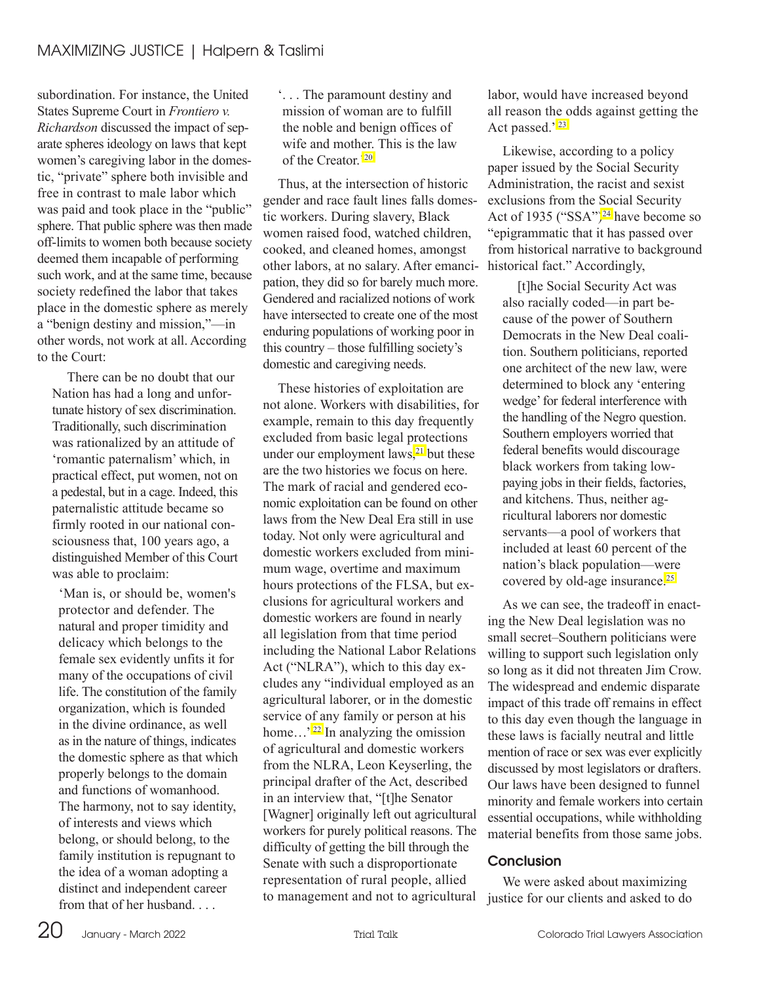subordination. For instance, the United States Supreme Court in *Frontiero v. Richardson* discussed the impact of separate spheres ideology on laws that kept women's caregiving labor in the domestic, "private" sphere both invisible and free in contrast to male labor which was paid and took place in the "public" sphere. That public sphere was then made off-limits to women both because society deemed them incapable of performing such work, and at the same time, because society redefined the labor that takes place in the domestic sphere as merely a "benign destiny and mission,"—in other words, not work at all. According to the Court:

There can be no doubt that our Nation has had a long and unfor tunate history of sex discrimination. Traditionally, such discrimination was rationalized by an attitude of 'romantic paternalism' which, in practical effect, put women, not on a pedestal, but in a cage. Indeed, this paternalistic attitude became so firmly rooted in our national consciousness that, 100 years ago, a distinguished Member of this Court was able to proclaim:

'Man is, or should be, women's protector and defender. The natural and proper timidity and delicacy which belongs to the female sex evidently unfits it for many of the occupations of civil life. The constitution of the family organization, which is founded in the divine ordinance, as well as in the nature of things, indicates the domestic sphere as that which properly belongs to the domain and functions of womanhood. The harmony, not to say identity, of interests and views which belong, or should belong, to the family institution is repugnant to the idea of a woman adopting a distinct and independent career from that of her husband. . . .

'. . . The paramount destiny and mission of woman are to fulfill the noble and benign offices of wife and mother. This is the law of the Creator.'20

Thus, at the intersection of historic gender and race fault lines falls domes tic workers. During slavery, Black women raised food, watched children, cooked, and cleaned homes, amongst other labors, at no salary. After emancipation, they did so for barely much more. Gendered and racialized notions of work have intersected to create one of the most enduring populations of working poor in this country – those fulfilling society's domestic and caregiving needs.

These histories of exploitation are not alone. Workers with disabilities, for example, remain to this day frequently excluded from basic legal protections under our employment laws, $21$  but these are the two histories we focus on here. The mark of racial and gendered economic exploitation can be found on other laws from the New Deal Era still in use today. Not only were agricultural and domestic workers excluded from minimum wage, overtime and maximum hours protections of the FLSA, but exclusions for agricultural workers and domestic workers are found in nearly all legislation from that time period including the National Labor Relations Act ("NLRA"), which to this day excludes any "individual employed as an agricultural laborer, or in the domestic service of any family or person at his home..."<sup>22</sup> In analyzing the omission of agricultural and domestic workers from the NLRA, Leon Keyserling, the principal drafter of the Act, described in an interview that, "[t]he Senator [Wagner] originally left out agricultural workers for purely political reasons. The difficulty of getting the bill through the Senate with such a disproportionate repre sentation of rural people, allied to management and not to agricultural

labor, would have increased beyond all reason the odds against getting the Act passed."23

Likewise, according to a policy paper issued by the Social Security Administration, the racist and sexist exclusions from the Social Security Act of 1935 ("SSA")<sup>24</sup> have become so "epigrammatic that it has passed over from historical narrative to background historical fact." Accordingly,

[t]he Social Security Act was also racially coded—in part be cause of the power of Southern Democrats in the New Deal coalition. Southern politicians, reported one architect of the new law, were determined to block any 'entering wedge' for federal interference with the handling of the Negro question. Southern employers worried that federal benefits would discourage black workers from taking lowpaying jobs in their fields, factories, and kitchens. Thus, neither agricultural laborers nor domestic servants—a pool of workers that included at least 60 percent of the nation's black population—were covered by old-age insurance.<sup>25</sup>

As we can see, the tradeoff in enacting the New Deal legislation was no small secret–Southern politicians were willing to support such legislation only so long as it did not threaten Jim Crow. The widespread and endemic disparate impact of this trade off remains in effect to this day even though the language in these laws is facially neutral and little mention of race or sex was ever explicitly discussed by most legislators or drafters. Our laws have been designed to funnel minority and female workers into certain essential occupations, while withholding material benefits from those same jobs.

#### **Conclusion**

We were asked about maximizing justice for our clients and asked to do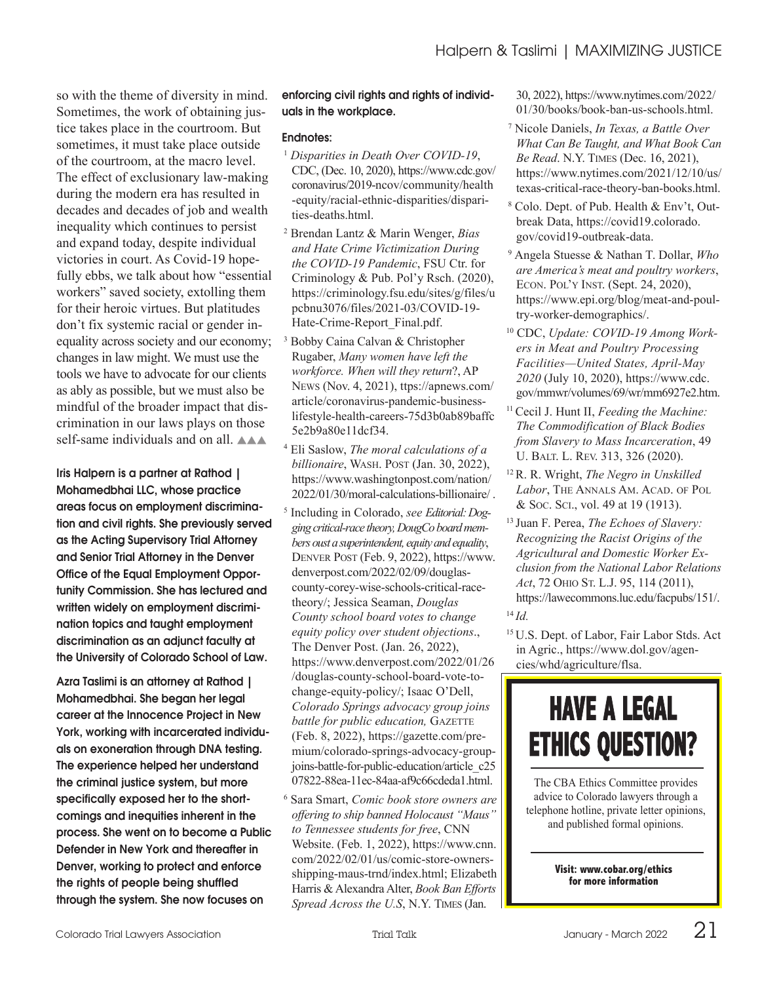so with the theme of diversity in mind. Sometimes, the work of obtaining justice takes place in the courtroom. But sometimes, it must take place outside of the courtroom, at the macro level. The effect of exclusionary law-making during the modern era has resulted in decades and decades of job and wealth inequality which continues to persist and expand today, despite individual victories in court. As Covid-19 hopefully ebbs, we talk about how "essential workers" saved society, extolling them for their heroic virtues. But platitudes don't fix systemic racial or gender inequality across society and our economy; changes in law might. We must use the tools we have to advocate for our clients as ably as possible, but we must also be mindful of the broader impact that discrimination in our laws plays on those self-same individuals and on all.  $\triangle$ 

**Iris Halpern is a partner at Rathod | Mohamedbhai LLC, whose practice areas focus on employment discrimination and civil rights. She previously served as the Acting Supervisory Trial Attorney and Senior Trial Attorney in the Denver Office of the Equal Employment Oppor tunity Commission. She has lectured and written widely on employment discrimination topics and taught employment discrimination as an adjunct faculty at the University of Colorado School of Law.**

**Azra Taslimi is an attorney at Rathod | Mohamedbhai. She began her legal career at the Innocence Project in New York, working with incarcerated individuals on exoneration through DNA testing. The experience helped her understand the criminal justice system, but more specifically exposed her to the shortcomings and inequities inherent in the process. She went on to become a Public Defender in New York and thereafter in Denver, working to protect and enforce the rights of people being shuffled through the system. She now focuses on**

#### **enforcing civil rights and rights of individuals in the workplace.**

#### **Endnotes:**

- <sup>1</sup> *Disparities in Death Over COVID-19*, CDC, (Dec. 10, 2020), https://www.cdc.gov/ coronavirus/2019-ncov/community/health -equity/racial-ethnic-disparities/disparities-deaths.html.
- 2 Brendan Lantz & Marin Wenger, *Bias and Hate Crime Victimization During the COVID-19 Pandemic*, FSU Ctr. for Criminology & Pub. Pol'y Rsch. (2020), https://criminology.fsu.edu/sites/g/files/u pcbnu3076/files/2021-03/COVID-19- Hate-Crime-Report\_Final.pdf.
- <sup>3</sup> Bobby Caina Calvan & Christopher Ruga ber, *Many women have left the workforce. When will they return*?, AP NEWS (Nov. 4, 2021), ttps://apnews.com/ article/coronavirus-pandemic-businesslifestyle-health-careers-75d3b0ab89baffc 5e2b9a80e11dcf34.
- 4 Eli Saslow, *The moral calculations of a billionaire*, WASH. POST (Jan. 30, 2022), https://www.washingtonpost.com/nation/ 2022/01/30/moral-calculations-billionaire/ .
- 5 Including in Colorado, *see Editorial: Dogging critical-race theory, DougCo board members oust a superintendent, equity and equality*, DENVER POST (Feb. 9, 2022), https://www. denverpost.com/2022/02/09/douglascounty-corey-wise-schools-critical-racetheory/; Jessica Seaman, *Douglas County school board votes to change equity policy over student objections*., The Denver Post. (Jan. 26, 2022), https://www.denverpost.com/2022/01/26 /douglas-county-school-board-vote-tochange-equity-policy/; Isaac O'Dell, *Colorado Springs advocacy group joins battle for public education,* GAZETTE (Feb. 8, 2022), https://gazette.com/premium/colorado-springs-advocacy-groupjoins-battle-for-public-education/article\_c25 07822-88ea-11ec-84aa-af9c66cdeda1.html.
- 6 Sara Smart, *Comic book store owners are offering to ship banned Holocaust "Maus" to Tennessee students for free*, CNN Website. (Feb. 1, 2022), https://www.cnn. com/2022/02/01/us/comic-store-ownersshipping-maus-trnd/index.html; Elizabeth Harris & Alexandra Alter, *Book Ban Efforts Spread Across the U.S*, N.Y. TIMES (Jan.

30, 2022), https://www.nytimes.com/2022/ 01/30/books/book-ban-us-schools.html.

- 7 Nicole Daniels, *In Texas, a Battle Over What Can Be Taught, and What Book Can Be Read*. N.Y. TIMES (Dec. 16, 2021), https://www.nytimes.com/2021/12/10/us/ texas-critical-race-theory-ban-books.html.
- 8 Colo. Dept. of Pub. Health & Env't, Outbreak Data, https://covid19.colorado. gov/covid19-outbreak-data.
- 9 Angela Stuesse & Nathan T. Dollar, *Who are America's meat and poultry workers*, ECON. POL'Y INST. (Sept. 24, 2020), https://www.epi.org/blog/meat-and-poultry-worker-demographics/.
- 10 CDC, *Update: COVID-19 Among Workers in Meat and Poultry Processing Facilities—United States, April-May 2020* (July 10, 2020), https://www.cdc. gov/mmwr/volumes/69/wr/mm6927e2.htm.
- 11 Cecil J. Hunt II, *Feeding the Machine: The Commodification of Black Bodies from Slavery to Mass Incarceration*, 49 U. BALT. L. REV. 313, 326 (2020).
- 12 R. R. Wright, *The Negro in Unskilled Labor*, THE ANNALS AM. ACAD. OF POL & SOC. SCI., vol. 49 at 19 (1913).
- 13 Juan F. Perea, *The Echoes of Slavery: Recognizing the Racist Origins of the Agricultural and Domestic Worker Ex clusion from the National Labor Relations Act*, 72 OHIO ST. L.J. 95, 114 (2011), https://lawecommons.luc.edu/facpubs/151/. <sup>14</sup>*Id.*
- 15 U.S. Dept. of Labor, Fair Labor Stds. Act in Agric., https://www.dol.gov/agencies/whd/agriculture/flsa.



The CBA Ethics Committee provides advice to Colorado lawyers through a telephone hotline, private letter opinions, and published formal opinions.

> **Visit: www.cobar.org/ethics for more information**